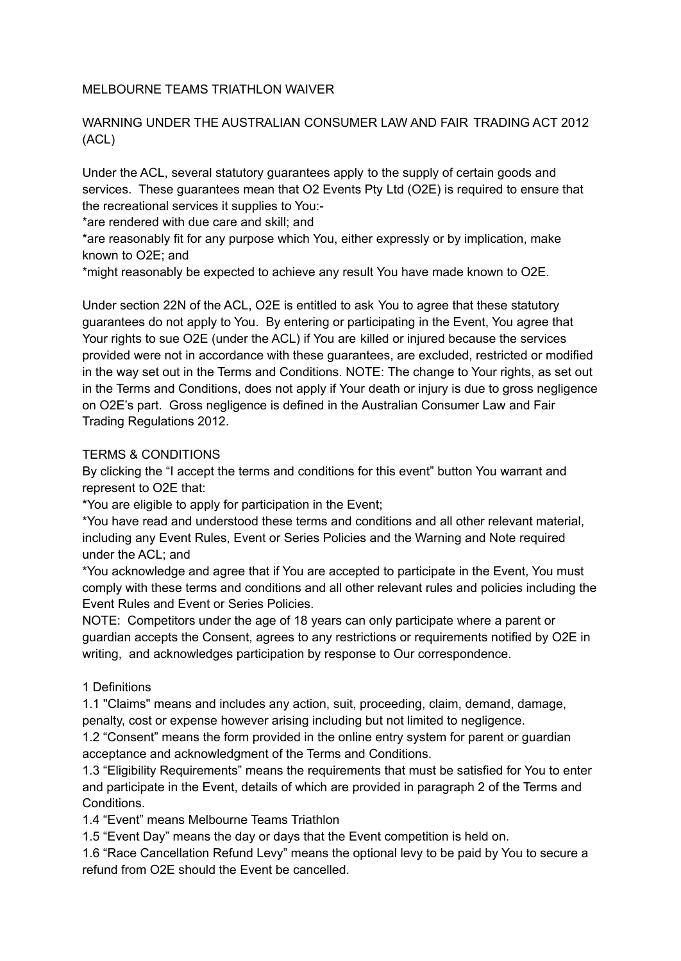#### MELBOURNE TEAMS TRIATHLON WAIVER

## WARNING UNDER THE AUSTRALIAN CONSUMER LAW AND FAIR TRADING ACT 2012 (ACL)

Under the ACL, several statutory guarantees apply to the supply of certain goods and services. These guarantees mean that O2 Events Pty Ltd (O2E) is required to ensure that the recreational services it supplies to You:-

\*are rendered with due care and skill; and

\*are reasonably fit for any purpose which You, either expressly or by implication, make known to O2E; and

\*might reasonably be expected to achieve any result You have made known to O2E.

Under section 22N of the ACL, O2E is entitled to ask You to agree that these statutory guarantees do not apply to You. By entering or participating in the Event, You agree that Your rights to sue O2E (under the ACL) if You are killed or injured because the services provided were not in accordance with these guarantees, are excluded, restricted or modified in the way set out in the Terms and Conditions. NOTE: The change to Your rights, as set out in the Terms and Conditions, does not apply if Your death or injury is due to gross negligence on O2E's part. Gross negligence is defined in the Australian Consumer Law and Fair Trading Regulations 2012.

#### TERMS & CONDITIONS

By clicking the "I accept the terms and conditions for this event" button You warrant and represent to O2E that:

\*You are eligible to apply for participation in the Event;

\*You have read and understood these terms and conditions and all other relevant material, including any Event Rules, Event or Series Policies and the Warning and Note required under the ACL; and

\*You acknowledge and agree that if You are accepted to participate in the Event, You must comply with these terms and conditions and all other relevant rules and policies including the Event Rules and Event or Series Policies.

NOTE: Competitors under the age of 18 years can only participate where a parent or guardian accepts the Consent, agrees to any restrictions or requirements notified by O2E in writing, and acknowledges participation by response to Our correspondence.

## 1 Definitions

1.1 "Claims" means and includes any action, suit, proceeding, claim, demand, damage, penalty, cost or expense however arising including but not limited to negligence.

1.2 "Consent" means the form provided in the online entry system for parent or guardian acceptance and acknowledgment of the Terms and Conditions.

1.3 "Eligibility Requirements" means the requirements that must be satisfied for You to enter and participate in the Event, details of which are provided in paragraph 2 of the Terms and Conditions.

1.4 "Event" means Melbourne Teams Triathlon

1.5 "Event Day" means the day or days that the Event competition is held on.

1.6 "Race Cancellation Refund Levy" means the optional levy to be paid by You to secure a refund from O2E should the Event be cancelled.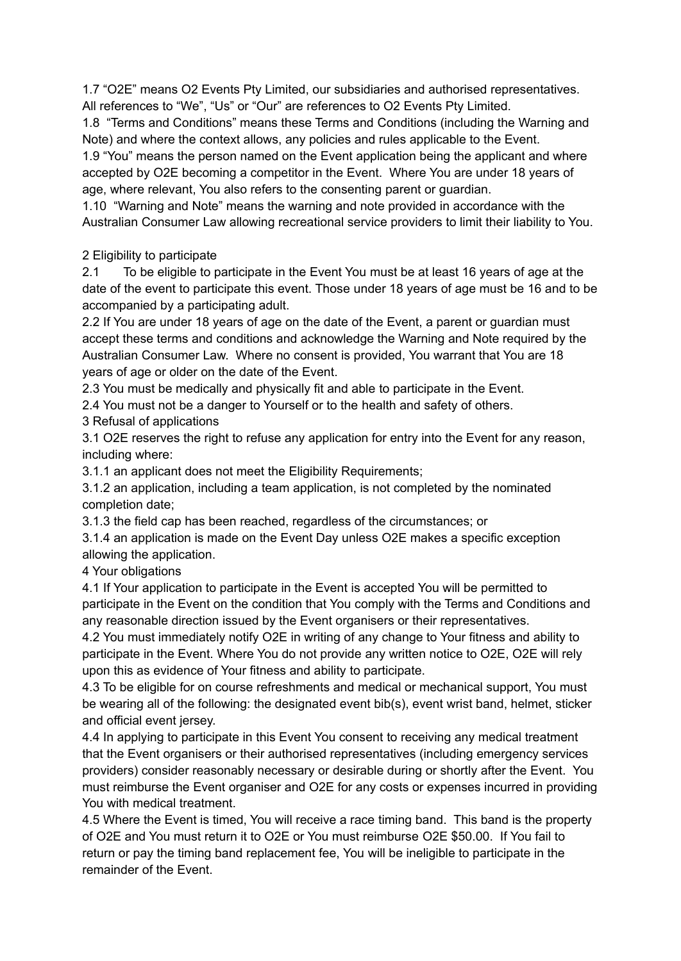1.7 "O2E" means O2 Events Pty Limited, our subsidiaries and authorised representatives. All references to "We", "Us" or "Our" are references to O2 Events Pty Limited.

1.8 "Terms and Conditions" means these Terms and Conditions (including the Warning and Note) and where the context allows, any policies and rules applicable to the Event.

1.9 "You" means the person named on the Event application being the applicant and where accepted by O2E becoming a competitor in the Event. Where You are under 18 years of age, where relevant, You also refers to the consenting parent or guardian.

1.10 "Warning and Note" means the warning and note provided in accordance with the Australian Consumer Law allowing recreational service providers to limit their liability to You.

# 2 Eligibility to participate

2.1 To be eligible to participate in the Event You must be at least 16 years of age at the date of the event to participate this event. Those under 18 years of age must be 16 and to be accompanied by a participating adult.

2.2 If You are under 18 years of age on the date of the Event, a parent or guardian must accept these terms and conditions and acknowledge the Warning and Note required by the Australian Consumer Law. Where no consent is provided, You warrant that You are 18 years of age or older on the date of the Event.

2.3 You must be medically and physically fit and able to participate in the Event.

2.4 You must not be a danger to Yourself or to the health and safety of others.

3 Refusal of applications

3.1 O2E reserves the right to refuse any application for entry into the Event for any reason, including where:

3.1.1 an applicant does not meet the Eligibility Requirements;

3.1.2 an application, including a team application, is not completed by the nominated completion date;

3.1.3 the field cap has been reached, regardless of the circumstances; or

3.1.4 an application is made on the Event Day unless O2E makes a specific exception allowing the application.

4 Your obligations

4.1 If Your application to participate in the Event is accepted You will be permitted to participate in the Event on the condition that You comply with the Terms and Conditions and any reasonable direction issued by the Event organisers or their representatives.

4.2 You must immediately notify O2E in writing of any change to Your fitness and ability to participate in the Event. Where You do not provide any written notice to O2E, O2E will rely upon this as evidence of Your fitness and ability to participate.

4.3 To be eligible for on course refreshments and medical or mechanical support, You must be wearing all of the following: the designated event bib(s), event wrist band, helmet, sticker and official event jersey.

4.4 In applying to participate in this Event You consent to receiving any medical treatment that the Event organisers or their authorised representatives (including emergency services providers) consider reasonably necessary or desirable during or shortly after the Event. You must reimburse the Event organiser and O2E for any costs or expenses incurred in providing You with medical treatment.

4.5 Where the Event is timed, You will receive a race timing band. This band is the property of O2E and You must return it to O2E or You must reimburse O2E \$50.00. If You fail to return or pay the timing band replacement fee, You will be ineligible to participate in the remainder of the Event.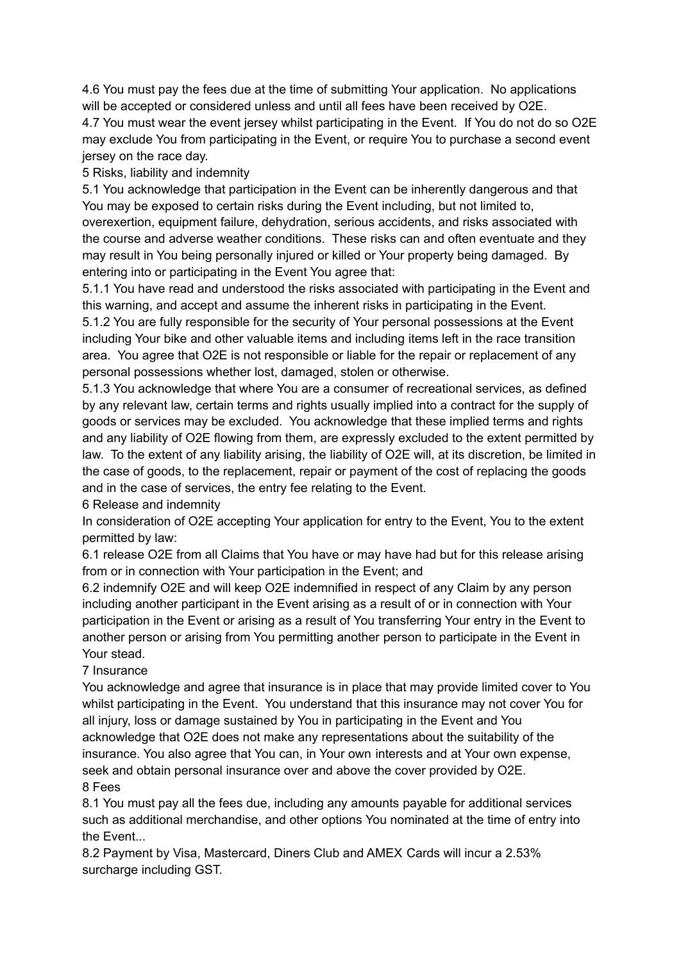4.6 You must pay the fees due at the time of submitting Your application. No applications will be accepted or considered unless and until all fees have been received by O2E.

4.7 You must wear the event jersey whilst participating in the Event. If You do not do so O2E may exclude You from participating in the Event, or require You to purchase a second event jersey on the race day.

5 Risks, liability and indemnity

5.1 You acknowledge that participation in the Event can be inherently dangerous and that You may be exposed to certain risks during the Event including, but not limited to, overexertion, equipment failure, dehydration, serious accidents, and risks associated with the course and adverse weather conditions. These risks can and often eventuate and they may result in You being personally injured or killed or Your property being damaged. By entering into or participating in the Event You agree that:

5.1.1 You have read and understood the risks associated with participating in the Event and this warning, and accept and assume the inherent risks in participating in the Event.

5.1.2 You are fully responsible for the security of Your personal possessions at the Event including Your bike and other valuable items and including items left in the race transition area. You agree that O2E is not responsible or liable for the repair or replacement of any personal possessions whether lost, damaged, stolen or otherwise.

5.1.3 You acknowledge that where You are a consumer of recreational services, as defined by any relevant law, certain terms and rights usually implied into a contract for the supply of goods or services may be excluded. You acknowledge that these implied terms and rights and any liability of O2E flowing from them, are expressly excluded to the extent permitted by law. To the extent of any liability arising, the liability of O2E will, at its discretion, be limited in the case of goods, to the replacement, repair or payment of the cost of replacing the goods and in the case of services, the entry fee relating to the Event.

6 Release and indemnity

In consideration of O2E accepting Your application for entry to the Event, You to the extent permitted by law:

6.1 release O2E from all Claims that You have or may have had but for this release arising from or in connection with Your participation in the Event; and

6.2 indemnify O2E and will keep O2E indemnified in respect of any Claim by any person including another participant in the Event arising as a result of or in connection with Your participation in the Event or arising as a result of You transferring Your entry in the Event to another person or arising from You permitting another person to participate in the Event in Your stead.

7 Insurance

You acknowledge and agree that insurance is in place that may provide limited cover to You whilst participating in the Event. You understand that this insurance may not cover You for all injury, loss or damage sustained by You in participating in the Event and You acknowledge that O2E does not make any representations about the suitability of the insurance. You also agree that You can, in Your own interests and at Your own expense, seek and obtain personal insurance over and above the cover provided by O2E.

## 8 Fees

8.1 You must pay all the fees due, including any amounts payable for additional services such as additional merchandise, and other options You nominated at the time of entry into the Event...

8.2 Payment by Visa, Mastercard, Diners Club and AMEX Cards will incur a 2.53% surcharge including GST.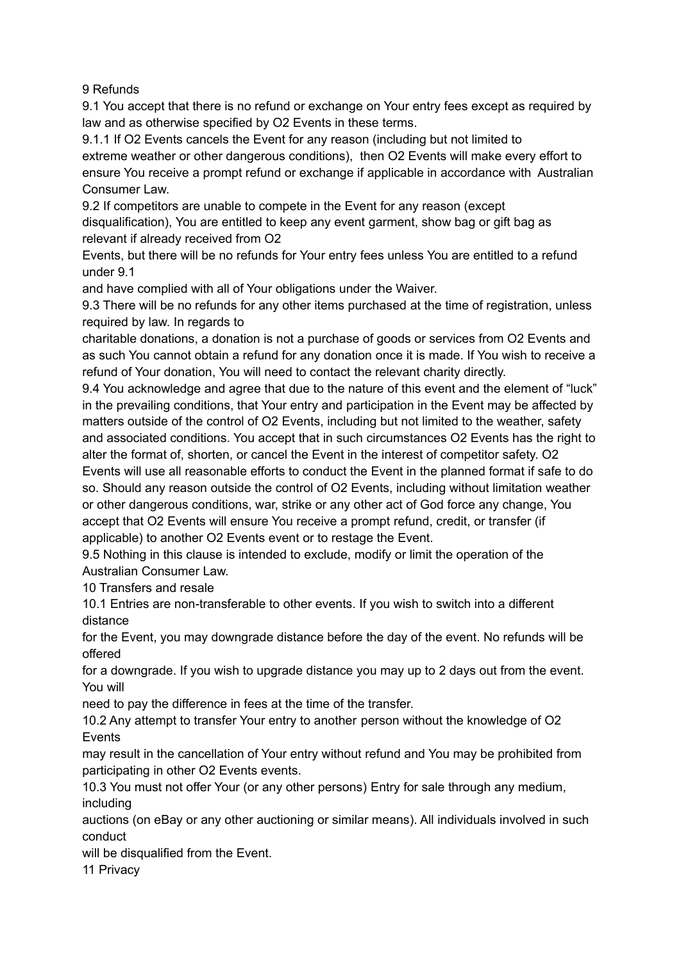9 Refunds

9.1 You accept that there is no refund or exchange on Your entry fees except as required by law and as otherwise specified by O2 Events in these terms.

9.1.1 If O2 Events cancels the Event for any reason (including but not limited to extreme weather or other dangerous conditions), then O2 Events will make every effort to ensure You receive a prompt refund or exchange if applicable in accordance with Australian Consumer Law.

9.2 If competitors are unable to compete in the Event for any reason (except disqualification), You are entitled to keep any event garment, show bag or gift bag as relevant if already received from O2

Events, but there will be no refunds for Your entry fees unless You are entitled to a refund under 9.1

and have complied with all of Your obligations under the Waiver.

9.3 There will be no refunds for any other items purchased at the time of registration, unless required by law. In regards to

charitable donations, a donation is not a purchase of goods or services from O2 Events and as such You cannot obtain a refund for any donation once it is made. If You wish to receive a refund of Your donation, You will need to contact the relevant charity directly.

9.4 You acknowledge and agree that due to the nature of this event and the element of "luck" in the prevailing conditions, that Your entry and participation in the Event may be affected by matters outside of the control of O2 Events, including but not limited to the weather, safety and associated conditions. You accept that in such circumstances O2 Events has the right to alter the format of, shorten, or cancel the Event in the interest of competitor safety. O2 Events will use all reasonable efforts to conduct the Event in the planned format if safe to do so. Should any reason outside the control of O2 Events, including without limitation weather or other dangerous conditions, war, strike or any other act of God force any change, You accept that O2 Events will ensure You receive a prompt refund, credit, or transfer (if applicable) to another O2 Events event or to restage the Event.

9.5 Nothing in this clause is intended to exclude, modify or limit the operation of the Australian Consumer Law.

10 Transfers and resale

10.1 Entries are non-transferable to other events. If you wish to switch into a different distance

for the Event, you may downgrade distance before the day of the event. No refunds will be offered

for a downgrade. If you wish to upgrade distance you may up to 2 days out from the event. You will

need to pay the difference in fees at the time of the transfer.

10.2 Any attempt to transfer Your entry to another person without the knowledge of O2 **Events** 

may result in the cancellation of Your entry without refund and You may be prohibited from participating in other O2 Events events.

10.3 You must not offer Your (or any other persons) Entry for sale through any medium, including

auctions (on eBay or any other auctioning or similar means). All individuals involved in such conduct

will be disqualified from the Event.

11 Privacy